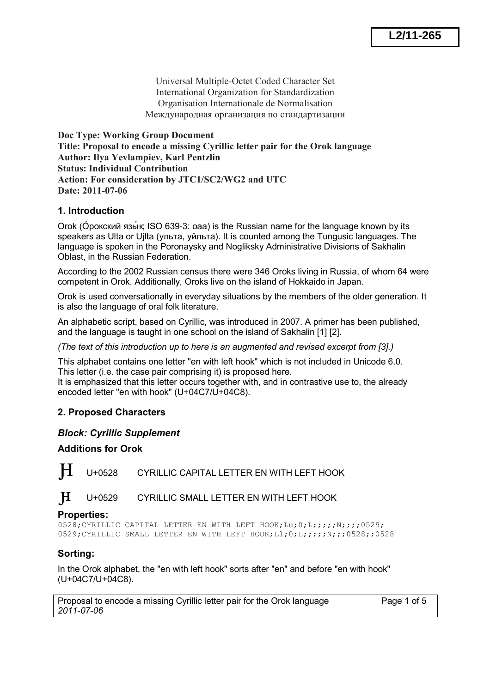Universal Multiple-Octet Coded Character Set International Organization for Standardization Organisation Internationale de Normalisation Международная организация по стандартизации

**Doc Type: Working Group Document Title: Proposal to encode a missing Cyrillic letter pair for the Orok language Author: Ilya Yevlampiev, Karl Pentzlin Status: Individual Contribution Action: For consideration by JTC1/SC2/WG2 and UTC Date: 2011-07-06** 

## **1. Introduction**

Orok (О́рокский язы́ к; ISO 639-3: oaa) is the Russian name for the language known by its speakers as Ulta or Ujlta (ульта, уйльта). It is counted among the Tungusic languages. The language is spoken in the Poronaysky and Nogliksky Administrative Divisions of Sakhalin Oblast, in the Russian Federation.

According to the 2002 Russian census there were 346 Oroks living in Russia, of whom 64 were competent in Orok. Additionally, Oroks live on the island of Hokkaido in Japan.

Orok is used conversationally in everyday situations by the members of the older generation. It is also the language of oral folk literature.

An alphabetic script, based on Cyrillic, was introduced in 2007. A primer has been published, and the language is taught in one school on the island of Sakhalin [1] [2].

*(The text of this introduction up to here is an augmented and revised excerpt from [3].)*

This alphabet contains one letter "en with left hook" which is not included in Unicode 6.0. This letter (i.e. the case pair comprising it) is proposed here.

It is emphasized that this letter occurs together with, and in contrastive use to, the already encoded letter "en with hook" (U+04C7/U+04C8).

## **2. Proposed Characters**

#### *Block: Cyrillic Supplement*

#### **Additions for Orok**

**H** U+0528 CYRILLIC CAPITAL LETTER EN WITH LEFT HOOK

 $H_{\text{U+0529}}$  CYRILLIC SMALL LETTER EN WITH LEFT HOOK

#### **Properties:**

0528;CYRILLIC CAPITAL LETTER EN WITH LEFT HOOK;Lu;0;L;;;;;N;;;;0529; 0529;CYRILLIC SMALL LETTER EN WITH LEFT HOOK;Ll;0;L;;;;;N;;;0528;;0528

## **Sorting:**

In the Orok alphabet, the "en with left hook" sorts after "en" and before "en with hook" (U+04C7/U+04C8).

Proposal to encode a missing Cyrillic letter pair for the Orok language Page 1 of 5 *2011-07-06*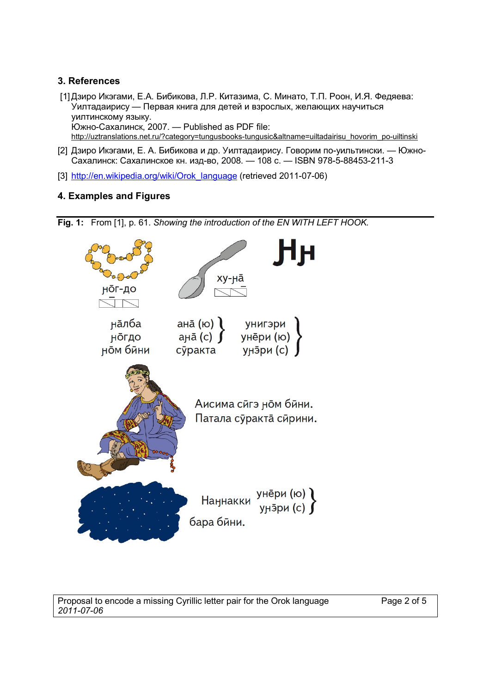## **3. References**

- [1] Дзиро Икэгами, Е.А. Бибикова, Л.Р. Китазима, С. Минато, Т.П. Роон, И.Я. Федяева: Уилтадаирису — Первая книга для детей и взрослых, желающих научиться уилтинскому языку. Южно-Сахалинск, 2007. — Published as PDF file: [http://uztranslations.net.ru/?category=tungusbooks-tungusic&altname=uiltadairisu\\_hovorim\\_po-uiltinski](http://uztranslations.net.ru/?category=tungusbooks-tungusic&altname=uiltadairisu_hovorim_po-uiltinski)
- [2] Дзиро Икэгами, Е. А. Бибикова и др. Уилтадаирису. Говорим по-уильтински. Южно-Сахалинск: Сахалинское кн. изд-во, 2008. — 108 с. — ISBN 978-5-88453-211-3
- [3] [http://en.wikipedia.org/wiki/Orok\\_language](http://en.wikipedia.org/wiki/Orok_language) (retrieved 2011-07-06)

# **4. Examples and Figures**

**Fig. 1:** From [1], p. 61. *Showing the introduction of the EN WITH LEFT HOOK.*



Proposal to encode a missing Cyrillic letter pair for the Orok language Page 2 of 5 *2011-07-06*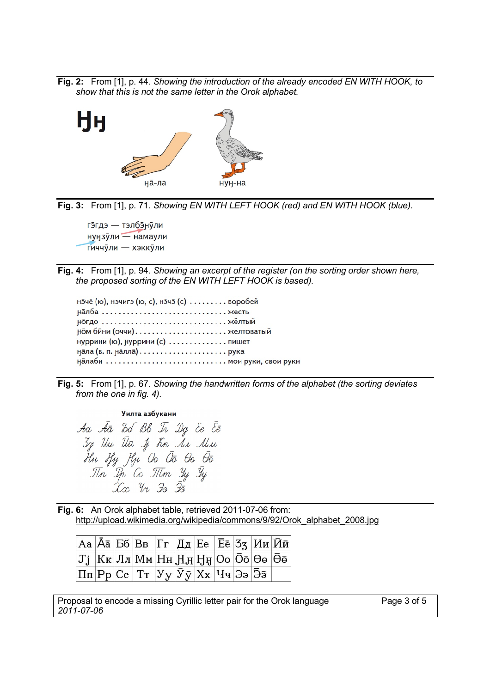**Fig. 2:** From [1], p. 44. *Showing the introduction of the already encoded EN WITH HOOK, to show that this is not the same letter in the Orok alphabet.*



**Fig. 3:** From [1], p. 71. *Showing EN WITH LEFT HOOK (red) and EN WITH HOOK (blue).*

гэгдэ — тэлбэнули нунзули — намаули Гиччули — хэккули

**Fig. 4:** From [1], p. 94. *Showing an excerpt of the register (on the sorting order shown here, the proposed sorting of the EN WITH LEFT HOOK is based).*

нэчё (ю), нэчигэ (ю, с), нэчэ (с) ......... воробей налба ................................ жесть ном бини (оччи)...................... желтоватый нуррини (ю), нуррини (с) ............. пишет нала (в. п. налла)...................... рука 

**Fig. 5:** From [1], p. 67. *Showing the handwritten forms of the alphabet (the sorting deviates from the one in fig. 4).*

#### Уилта азбукани

Aa Āā Id Bb Ir Dg Ee Ēē 37 Un the 1j Kn Ar Min the tfy fly Oo Ōō Oo Ōō<br>Tin Ip Co Titm Yy Ty<br>Xx Yr <del>Is Īō</del>

**Fig. 6:** An Orok alphabet table, retrieved 2011-07-06 from: [http://upload.wikimedia.org/wikipedia/commons/9/92/Orok\\_alphabet\\_2008.jpg](http://upload.wikimedia.org/wikipedia/commons/9/92/Orok_alphabet_2008.jpg)

|  | $\big \rm{Aa}\big \bar{\rm{A}}\bar{\rm{a}}\big \rm{B6}\big \rm{B}_B\big \Gamma_\Gamma\big \rm{I\hspace{-0.04cm}I\hspace{-0.04cm}I\hspace{-0.04cm}I}\big \rm{Ee}\big \bar{\rm{E}}\bar{\rm{e}}\big \rm{3}_3\big \rm{M}\rm{u}\big \bar{\rm{M}}\bar{\rm{u}}\big \big $ |  |  |  |  |
|--|--------------------------------------------------------------------------------------------------------------------------------------------------------------------------------------------------------------------------------------------------------------------|--|--|--|--|
|  | $ \mathtt{Jj} $ Кк $ \mathtt{J\pi} \mathtt{M\pi} \mathtt{H\pi} \mathtt{H\pi} \mathtt{H\pi} \mathtt{Oo} \bar{\mathtt{Oo}} \Theta$ ө $ \bar{\Theta}$ ө $ $                                                                                                           |  |  |  |  |
|  | $ \Pi\pi {\rm Pp} {\rm Cc}\, \,{\rm Tr}\,\left {\rm y}_{\bf y}\right \!\bar{\rm y}_{\bf \bar{y}}\!\left {\rm X}_{\bf x}\right {\rm Y}_{\bf y}\!\left {\rm \bar{3}_{\bf 5}}\right $                                                                                 |  |  |  |  |

Proposal to encode a missing Cyrillic letter pair for the Orok language Page 3 of 5 *2011-07-06*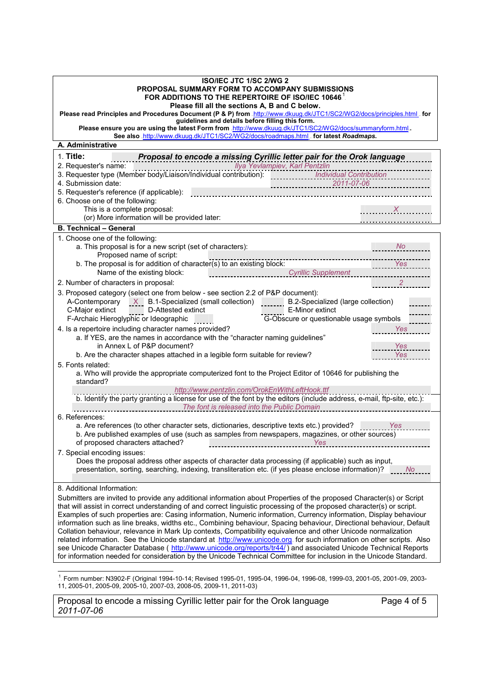| ISO/IEC JTC 1/SC 2/WG 2<br>PROPOSAL SUMMARY FORM TO ACCOMPANY SUBMISSIONS<br>FOR ADDITIONS TO THE REPERTOIRE OF ISO/IEC 10646.<br>Please fill all the sections A, B and C below.<br>Please read Principles and Procedures Document (P & P) from .http://www.dkuug.dk/JTC1/SC2/WG2/docs/principles.html . for<br>guidelines and details before filling this form.<br>Please ensure you are using the latest Form from .http://www.dkuug.dk/JTC1/SC2/WG2/docs/summaryform.html.                                                                                                                                                                                                                                                                                                                                                                                                                                                                                                                                                                                                                                                                                                                                                                                                                    |  |  |  |  |  |  |  |  |
|--------------------------------------------------------------------------------------------------------------------------------------------------------------------------------------------------------------------------------------------------------------------------------------------------------------------------------------------------------------------------------------------------------------------------------------------------------------------------------------------------------------------------------------------------------------------------------------------------------------------------------------------------------------------------------------------------------------------------------------------------------------------------------------------------------------------------------------------------------------------------------------------------------------------------------------------------------------------------------------------------------------------------------------------------------------------------------------------------------------------------------------------------------------------------------------------------------------------------------------------------------------------------------------------------|--|--|--|--|--|--|--|--|
| See also .http://www.dkuug.dk/JTC1/SC2/WG2/docs/roadmaps.html for latest Roadmaps.<br>A. Administrative                                                                                                                                                                                                                                                                                                                                                                                                                                                                                                                                                                                                                                                                                                                                                                                                                                                                                                                                                                                                                                                                                                                                                                                          |  |  |  |  |  |  |  |  |
|                                                                                                                                                                                                                                                                                                                                                                                                                                                                                                                                                                                                                                                                                                                                                                                                                                                                                                                                                                                                                                                                                                                                                                                                                                                                                                  |  |  |  |  |  |  |  |  |
| 1. Title:<br>Proposal to encode a missing Cyrillic letter pair for the Orok language<br>2. Requester's name: www.waren.com/waren.com/waren.com/waren.com/waren.com/waren.com/waren.com/waren.com/waren.com/<br>3. Requester type (Member body/Liaison/Individual contribution): www.waren.com/matissarting/waren.com/ware<br>4. Submission date:<br>$2011-07-06$<br>5. Requester's reference (if applicable):<br>6. Choose one of the following:<br>This is a complete proposal:<br>$\overline{X}$<br>(or) More information will be provided later:<br>.                                                                                                                                                                                                                                                                                                                                                                                                                                                                                                                                                                                                                                                                                                                                         |  |  |  |  |  |  |  |  |
| <b>B. Technical - General</b>                                                                                                                                                                                                                                                                                                                                                                                                                                                                                                                                                                                                                                                                                                                                                                                                                                                                                                                                                                                                                                                                                                                                                                                                                                                                    |  |  |  |  |  |  |  |  |
| 1. Choose one of the following:<br>a. This proposal is for a new script (set of characters):<br>$\overline{\phantom{a}}$ No<br>Proposed name of script:<br>b. The proposal is for addition of character(s) to an existing block:<br>Cyrillic Supplement<br>Name of the existing block:<br>2. Number of characters in proposal:<br>3. Proposed category (select one from below - see section 2.2 of P&P document):<br>A-Contemporary $X$ B.1-Specialized (small collection)<br>B.2-Specialized (large collection)<br>$\overline{a}$<br>C-Major extinct<br>D-Attested extinct<br>E-Minor extinct<br>G-Obscure or questionable usage symbols<br>F-Archaic Hieroglyphic or Ideographic<br>4. Is a repertoire including character names provided?<br>Yes<br>a. If YES, are the names in accordance with the "character naming guidelines"<br>in Annex L of P&P document?<br>Yes<br>b. Are the character shapes attached in a legible form suitable for review?<br><b>Yes</b><br>5. Fonts related:<br>a. Who will provide the appropriate computerized font to the Project Editor of 10646 for publishing the<br>standard?<br>http://www.pentzlin.com/OrokEnWithLeftHook.ttf<br>b. Identify the party granting a license for use of the font by the editors (include address, e-mail, ftp-site, etc.): |  |  |  |  |  |  |  |  |
| The font is released into the Public Domain<br>6. References:<br>a. Are references (to other character sets, dictionaries, descriptive texts etc.) provided? Yes<br>b. Are published examples of use (such as samples from newspapers, magazines, or other sources)<br>of proposed characters attached?<br><u>Yes</u><br>7. Special encoding issues:<br>Does the proposal address other aspects of character data processing (if applicable) such as input,<br>presentation, sorting, searching, indexing, transliteration etc. (if yes please enclose information)?<br>No.                                                                                                                                                                                                                                                                                                                                                                                                                                                                                                                                                                                                                                                                                                                      |  |  |  |  |  |  |  |  |
| 8. Additional Information:<br>Submitters are invited to provide any additional information about Properties of the proposed Character(s) or Script<br>that will assist in correct understanding of and correct linguistic processing of the proposed character(s) or script.<br>Examples of such properties are: Casing information, Numeric information, Currency information, Display behaviour<br>information such as line breaks, widths etc., Combining behaviour, Spacing behaviour, Directional behaviour, Default<br>Collation behaviour, relevance in Mark Up contexts, Compatibility equivalence and other Unicode normalization<br>related information. See the Unicode standard at http://www.unicode.org. for such information on other scripts. Also<br>see Unicode Character Database (http://www.unicode.org/reports/tr44/) and associated Unicode Technical Reports<br>for information needed for consideration by the Unicode Technical Committee for inclusion in the Unicode Standard.                                                                                                                                                                                                                                                                                       |  |  |  |  |  |  |  |  |

ै. Form number: N3902-F (Original 1994-10-14; Revised 1995-01, 1995-04, 1996-04, 1996-08, 1999-03, 2001-05, 2001-09, 2003-11, 2005-01, 2005-09, 2005-10, 2007-03, 2008-05, 2009-11, 2011-03)

Proposal to encode a missing Cyrillic letter pair for the Orok language Page 4 of 5 *2011-07-06*